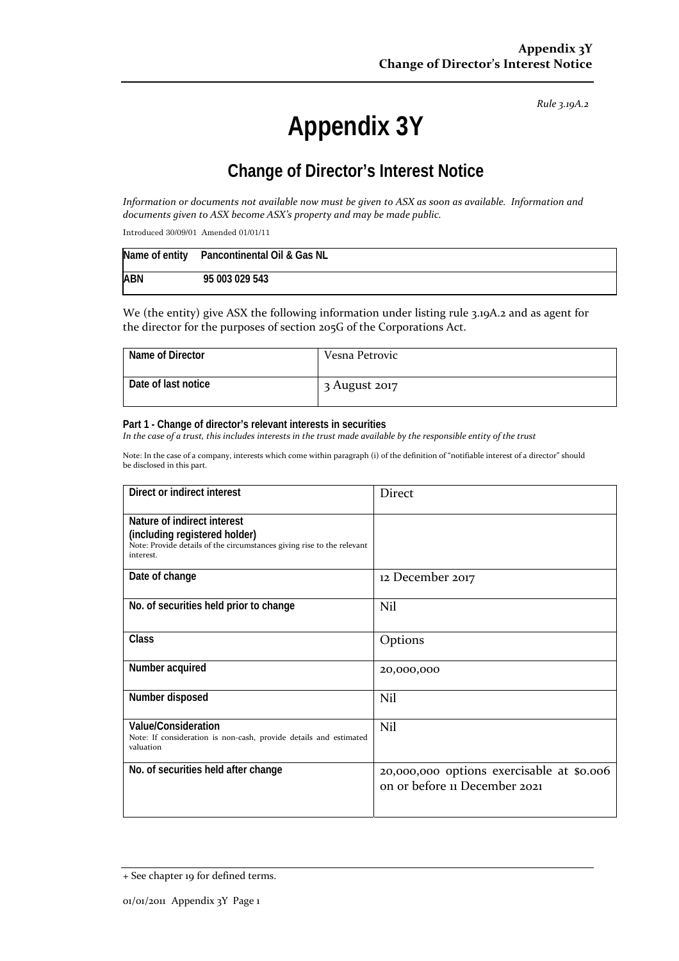*Rule 3.19A.2*

# **Appendix 3Y**

# **Change of Director's Interest Notice**

Information or documents not available now must be given to ASX as soon as available. Information and *documents given to ASX become ASX's property and may be made public.*

Introduced 30/09/01 Amended 01/01/11

|            | Name of entity Pancontinental Oil & Gas NL |
|------------|--------------------------------------------|
| <b>ABN</b> | 95 003 029 543                             |

We (the entity) give ASX the following information under listing rule 3.19A.2 and as agent for the director for the purposes of section 205G of the Corporations Act.

| Name of Director    | Vesna Petrovic |
|---------------------|----------------|
| Date of last notice | 3 August 2017  |

#### **Part 1 - Change of director's relevant interests in securities**

In the case of a trust, this includes interests in the trust made available by the responsible entity of the trust

Note: In the case of a company, interests which come within paragraph (i) of the definition of "notifiable interest of a director" should be disclosed in this part.

| Direct or indirect interest                                                                                                                         | <b>Direct</b>                                                              |  |
|-----------------------------------------------------------------------------------------------------------------------------------------------------|----------------------------------------------------------------------------|--|
| Nature of indirect interest<br>(including registered holder)<br>Note: Provide details of the circumstances giving rise to the relevant<br>interest. |                                                                            |  |
| Date of change                                                                                                                                      | 12 December 2017                                                           |  |
| No. of securities held prior to change                                                                                                              | Nil                                                                        |  |
| <b>Class</b>                                                                                                                                        | Options                                                                    |  |
| Number acquired                                                                                                                                     | 20,000,000                                                                 |  |
| Number disposed                                                                                                                                     | Nil                                                                        |  |
| <b>Value/Consideration</b><br>Note: If consideration is non-cash, provide details and estimated<br>valuation                                        | Nil                                                                        |  |
| No. of securities held after change                                                                                                                 | 20,000,000 options exercisable at \$0.006<br>on or before 11 December 2021 |  |

<sup>+</sup> See chapter 19 for defined terms.